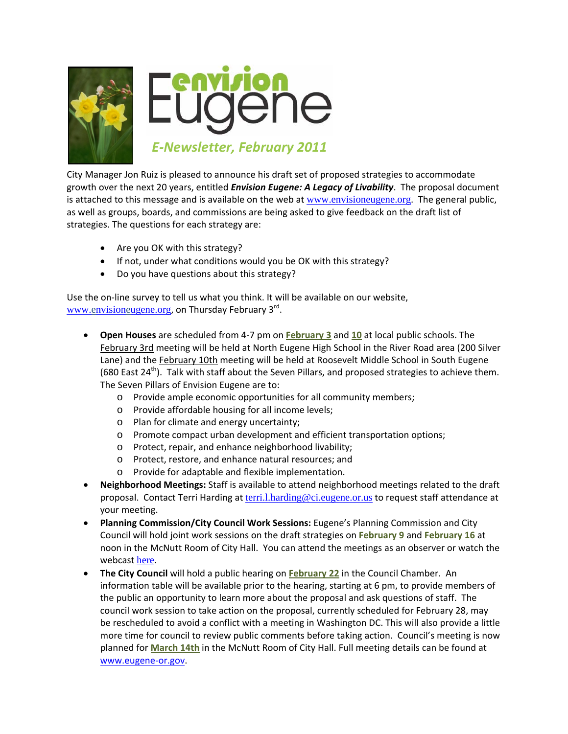

City Manager Jon Ruiz is pleased to announce his draft set of proposed strategies to accommodate growth over the next 20 years, entitled *Envision Eugene: A Legacy of Livability*. The proposal document is attached to this message and is available on the web at [www.envisioneugene.org](http://www.envisioneugene.org/).The general public, as well as groups, boards, and commissions are being asked to give feedback on the draft list of strategies. The questions for each strategy are:

- Are you OK with this strategy?
- If not, under what conditions would you be OK with this strategy?
- Do you have questions about this strategy?

Use the on‐line survey to tell us what you think. It will be available on our website, [www.envisioneugene.org](http://www.envisioneugene.org/), on Thursday February 3<sup>rd</sup>.

- **Open Houses** are scheduled from 4‐7 pm on **February 3** and **10** at local public schools. The February 3rd meeting will be held at North Eugene High School in the River Road area (200 Silver Lane) and the February 10th meeting will be held at Roosevelt Middle School in South Eugene (680 East  $24<sup>th</sup>$ ). Talk with staff about the Seven Pillars, and proposed strategies to achieve them. The Seven Pillars of Envision Eugene are to:
	- o Provide ample economic opportunities for all community members;
	- o Provide affordable housing for all income levels;
	- o Plan for climate and energy uncertainty;
	- o Promote compact urban development and efficient transportation options;
	- o Protect, repair, and enhance neighborhood livability;
	- o Protect, restore, and enhance natural resources; and
	- o Provide for adaptable and flexible implementation.
- **Neighborhood Meetings:** Staff is available to attend neighborhood meetings related to the draft proposal. Contact Terri Harding at [terri.l.harding@ci.eugene.or.us](mailto:terri.l.harding@ci.eugene.or.us) to request staff attendance at your meeting.
- **Planning Commission/City Council Work Sessions:** Eugene's Planning Commission and City Council will hold joint work sessions on the draft strategies on **February 9** and **February 16** at noon in the McNutt Room of City Hall. You can attend the meetings as an observer or watch the webcast [here](http://www.eugene-or.gov/portal/server.pt?space=CommunityPage&cached=true&parentname=CommunityPage&parentid=0&control=SetCommunity&CommunityID=267&PageID=1693).
- **The City Council** will hold a public hearing on **February 22** in the Council Chamber. An information table will be available prior to the hearing, starting at 6 pm, to provide members of the public an opportunity to learn more about the proposal and ask questions of staff. The council work session to take action on the proposal, currently scheduled for February 28, may be rescheduled to avoid a conflict with a meeting in Washington DC. This will also provide a little more time for council to review public comments before taking action. Council's meeting is now planned for **March 14th** in the McNutt Room of City Hall. Full meeting details can be found at www.eugene‐or.gov.